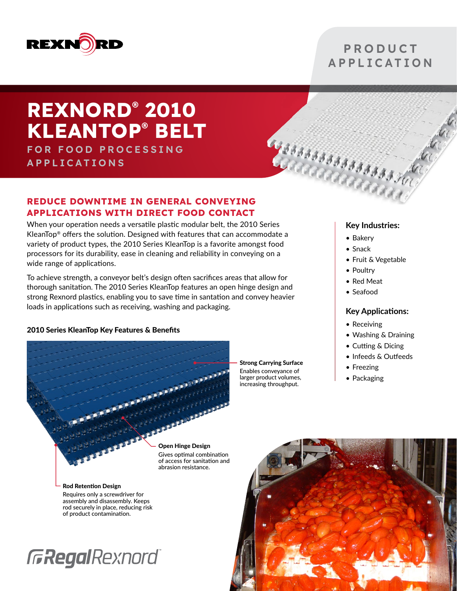

### **PRODUCT APPLICATION**

# **REXNORD® 2010 KLEANTOP® BELT**

**FOR FOOD PROCESSING APPLICATIONS** 

### **REDUCE DOWNTIME IN GENERAL CONVEYING APPLICATIONS WITH DIRECT FOOD CONTACT**

When your operation needs a versatile plastic modular belt, the 2010 Series KleanTop® offers the solution. Designed with features that can accommodate a variety of product types, the 2010 Series KleanTop is a favorite amongst food processors for its durability, ease in cleaning and reliability in conveying on a wide range of applications.

To achieve strength, a conveyor belt's design often sacrifices areas that allow for thorough sanitation. The 2010 Series KleanTop features an open hinge design and strong Rexnord plastics, enabling you to save time in santation and convey heavier loads in applications such as receiving, washing and packaging.

### 2010 Series KleanTop Key Features & Benefits

**AND AREA AND** Open Hinge Design Gives optimal combination of access for sanitation and abrasion resistance.

Strong Carrying Surface Enables conveyance of larger product volumes, increasing throughput.

**Key Industries:**

• Bakery

agsaasaasaasaasaad

- Snack
- Fruit & Vegetable
- Poultry
- Red Meat
- Seafood

### **Key Applications:**

- Receiving
- Washing & Draining
- Cutting & Dicing
- Infeeds & Outfeeds
- Freezing
- Packaging

Rod Retention Design Requires only a screwdriver for assembly and disassembly. Keeps rod securely in place, reducing risk of product contamination.